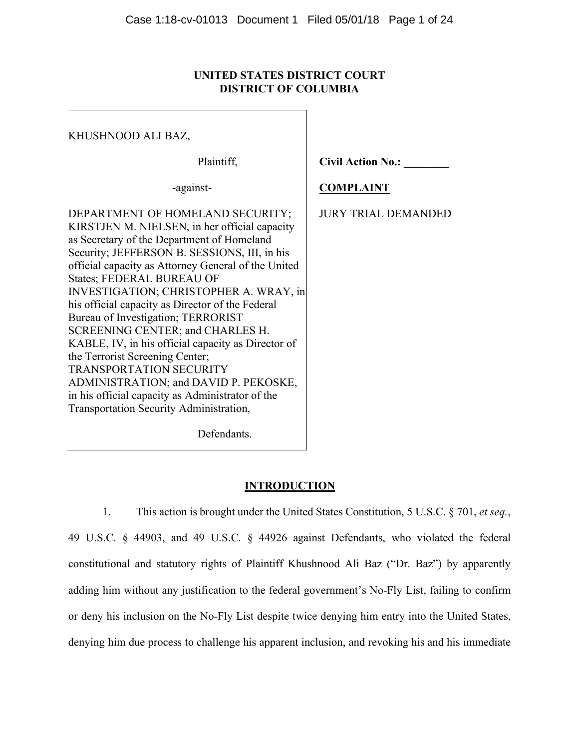# **UNITED STATES DISTRICT COURT DISTRICT OF COLUMBIA**

| KHUSHNOOD ALI BAZ,                                                                                                                                                                                                                                                                                                                                                                                                                                                                                                                                                                                                                                                                                                           |                          |
|------------------------------------------------------------------------------------------------------------------------------------------------------------------------------------------------------------------------------------------------------------------------------------------------------------------------------------------------------------------------------------------------------------------------------------------------------------------------------------------------------------------------------------------------------------------------------------------------------------------------------------------------------------------------------------------------------------------------------|--------------------------|
| Plaintiff,                                                                                                                                                                                                                                                                                                                                                                                                                                                                                                                                                                                                                                                                                                                   | <b>Civil Action No.:</b> |
| -against-                                                                                                                                                                                                                                                                                                                                                                                                                                                                                                                                                                                                                                                                                                                    | <b>COMPLAINT</b>         |
| DEPARTMENT OF HOMELAND SECURITY;<br>KIRSTJEN M. NIELSEN, in her official capacity<br>as Secretary of the Department of Homeland<br>Security; JEFFERSON B. SESSIONS, III, in his<br>official capacity as Attorney General of the United<br><b>States; FEDERAL BUREAU OF</b><br>INVESTIGATION; CHRISTOPHER A. WRAY, in<br>his official capacity as Director of the Federal<br>Bureau of Investigation; TERRORIST<br><b>SCREENING CENTER; and CHARLES H.</b><br>KABLE, IV, in his official capacity as Director of<br>the Terrorist Screening Center;<br><b>TRANSPORTATION SECURITY</b><br>ADMINISTRATION; and DAVID P. PEKOSKE,<br>in his official capacity as Administrator of the<br>Transportation Security Administration, | JURY TRIAL DEMANDED      |

Defendants.

# **INTRODUCTION**

1. This action is brought under the United States Constitution, 5 U.S.C. § 701, *et seq.*, 49 U.S.C. § 44903, and 49 U.S.C. § 44926 against Defendants, who violated the federal constitutional and statutory rights of Plaintiff Khushnood Ali Baz ("Dr. Baz") by apparently adding him without any justification to the federal government's No-Fly List, failing to confirm or deny his inclusion on the No-Fly List despite twice denying him entry into the United States, denying him due process to challenge his apparent inclusion, and revoking his and his immediate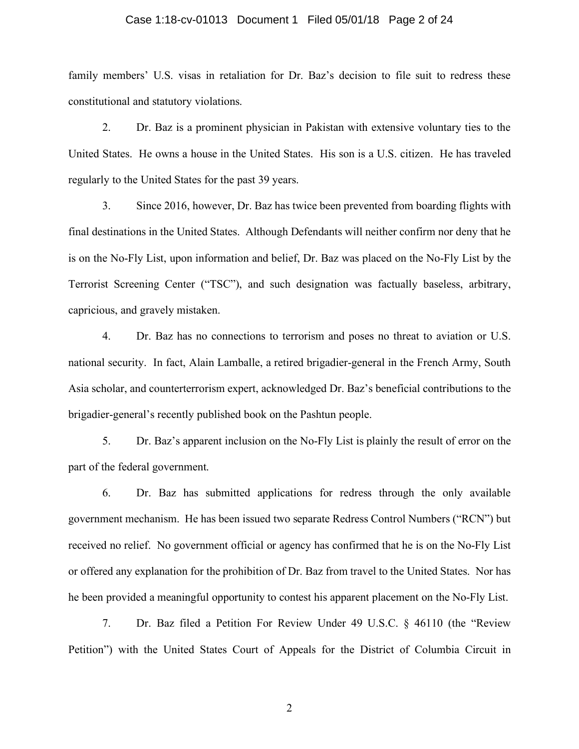### Case 1:18-cv-01013 Document 1 Filed 05/01/18 Page 2 of 24

family members' U.S. visas in retaliation for Dr. Baz's decision to file suit to redress these constitutional and statutory violations.

2. Dr. Baz is a prominent physician in Pakistan with extensive voluntary ties to the United States. He owns a house in the United States. His son is a U.S. citizen. He has traveled regularly to the United States for the past 39 years.

3. Since 2016, however, Dr. Baz has twice been prevented from boarding flights with final destinations in the United States. Although Defendants will neither confirm nor deny that he is on the No-Fly List, upon information and belief, Dr. Baz was placed on the No-Fly List by the Terrorist Screening Center ("TSC"), and such designation was factually baseless, arbitrary, capricious, and gravely mistaken.

4. Dr. Baz has no connections to terrorism and poses no threat to aviation or U.S. national security. In fact, Alain Lamballe, a retired brigadier-general in the French Army, South Asia scholar, and counterterrorism expert, acknowledged Dr. Baz's beneficial contributions to the brigadier-general's recently published book on the Pashtun people.

5. Dr. Baz's apparent inclusion on the No-Fly List is plainly the result of error on the part of the federal government.

6. Dr. Baz has submitted applications for redress through the only available government mechanism. He has been issued two separate Redress Control Numbers ("RCN") but received no relief. No government official or agency has confirmed that he is on the No-Fly List or offered any explanation for the prohibition of Dr. Baz from travel to the United States. Nor has he been provided a meaningful opportunity to contest his apparent placement on the No-Fly List.

7. Dr. Baz filed a Petition For Review Under 49 U.S.C. § 46110 (the "Review Petition") with the United States Court of Appeals for the District of Columbia Circuit in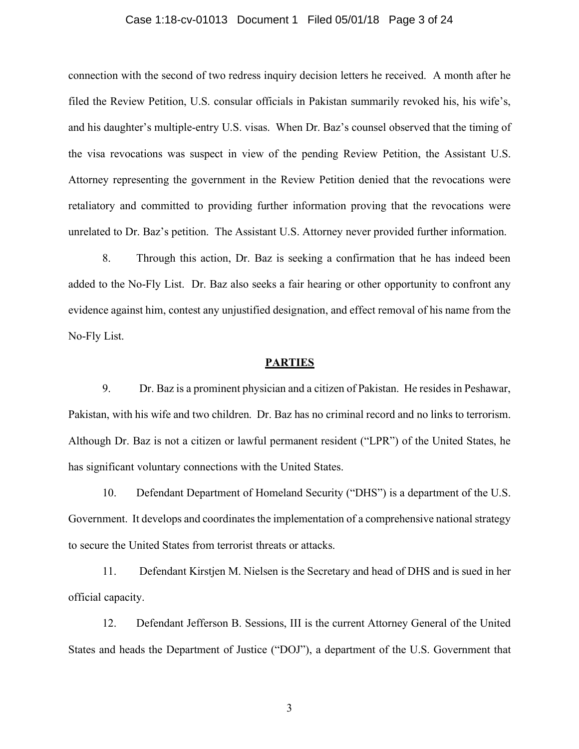### Case 1:18-cv-01013 Document 1 Filed 05/01/18 Page 3 of 24

connection with the second of two redress inquiry decision letters he received. A month after he filed the Review Petition, U.S. consular officials in Pakistan summarily revoked his, his wife's, and his daughter's multiple-entry U.S. visas. When Dr. Baz's counsel observed that the timing of the visa revocations was suspect in view of the pending Review Petition, the Assistant U.S. Attorney representing the government in the Review Petition denied that the revocations were retaliatory and committed to providing further information proving that the revocations were unrelated to Dr. Baz's petition. The Assistant U.S. Attorney never provided further information.

8. Through this action, Dr. Baz is seeking a confirmation that he has indeed been added to the No-Fly List. Dr. Baz also seeks a fair hearing or other opportunity to confront any evidence against him, contest any unjustified designation, and effect removal of his name from the No-Fly List.

## **PARTIES**

9. Dr. Baz is a prominent physician and a citizen of Pakistan. He resides in Peshawar, Pakistan, with his wife and two children. Dr. Baz has no criminal record and no links to terrorism. Although Dr. Baz is not a citizen or lawful permanent resident ("LPR") of the United States, he has significant voluntary connections with the United States.

10. Defendant Department of Homeland Security ("DHS") is a department of the U.S. Government. It develops and coordinates the implementation of a comprehensive national strategy to secure the United States from terrorist threats or attacks.

11. Defendant Kirstjen M. Nielsen is the Secretary and head of DHS and is sued in her official capacity.

12. Defendant Jefferson B. Sessions, III is the current Attorney General of the United States and heads the Department of Justice ("DOJ"), a department of the U.S. Government that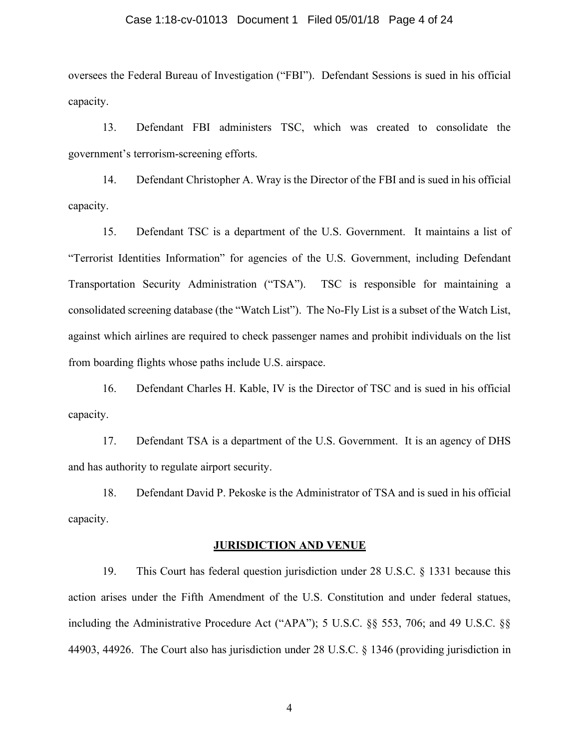### Case 1:18-cv-01013 Document 1 Filed 05/01/18 Page 4 of 24

oversees the Federal Bureau of Investigation ("FBI"). Defendant Sessions is sued in his official capacity.

13. Defendant FBI administers TSC, which was created to consolidate the government's terrorism-screening efforts.

14. Defendant Christopher A. Wray is the Director of the FBI and is sued in his official capacity.

15. Defendant TSC is a department of the U.S. Government. It maintains a list of "Terrorist Identities Information" for agencies of the U.S. Government, including Defendant Transportation Security Administration ("TSA"). TSC is responsible for maintaining a consolidated screening database (the "Watch List"). The No-Fly List is a subset of the Watch List, against which airlines are required to check passenger names and prohibit individuals on the list from boarding flights whose paths include U.S. airspace.

16. Defendant Charles H. Kable, IV is the Director of TSC and is sued in his official capacity.

17. Defendant TSA is a department of the U.S. Government. It is an agency of DHS and has authority to regulate airport security.

18. Defendant David P. Pekoske is the Administrator of TSA and is sued in his official capacity.

### **JURISDICTION AND VENUE**

19. This Court has federal question jurisdiction under 28 U.S.C. § 1331 because this action arises under the Fifth Amendment of the U.S. Constitution and under federal statues, including the Administrative Procedure Act ("APA"); 5 U.S.C. §§ 553, 706; and 49 U.S.C. §§ 44903, 44926. The Court also has jurisdiction under 28 U.S.C. § 1346 (providing jurisdiction in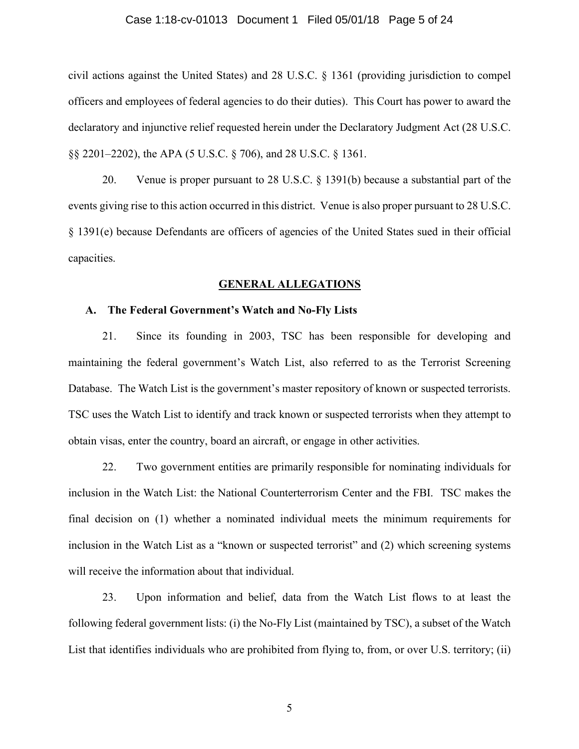### Case 1:18-cv-01013 Document 1 Filed 05/01/18 Page 5 of 24

civil actions against the United States) and 28 U.S.C. § 1361 (providing jurisdiction to compel officers and employees of federal agencies to do their duties). This Court has power to award the declaratory and injunctive relief requested herein under the Declaratory Judgment Act (28 U.S.C. §§ 2201–2202), the APA (5 U.S.C. § 706), and 28 U.S.C. § 1361.

20. Venue is proper pursuant to 28 U.S.C. § 1391(b) because a substantial part of the events giving rise to this action occurred in this district. Venue is also proper pursuant to 28 U.S.C. § 1391(e) because Defendants are officers of agencies of the United States sued in their official capacities.

#### **GENERAL ALLEGATIONS**

### **A. The Federal Government's Watch and No-Fly Lists**

21. Since its founding in 2003, TSC has been responsible for developing and maintaining the federal government's Watch List, also referred to as the Terrorist Screening Database. The Watch List is the government's master repository of known or suspected terrorists. TSC uses the Watch List to identify and track known or suspected terrorists when they attempt to obtain visas, enter the country, board an aircraft, or engage in other activities.

22. Two government entities are primarily responsible for nominating individuals for inclusion in the Watch List: the National Counterterrorism Center and the FBI. TSC makes the final decision on (1) whether a nominated individual meets the minimum requirements for inclusion in the Watch List as a "known or suspected terrorist" and (2) which screening systems will receive the information about that individual.

23. Upon information and belief, data from the Watch List flows to at least the following federal government lists: (i) the No-Fly List (maintained by TSC), a subset of the Watch List that identifies individuals who are prohibited from flying to, from, or over U.S. territory; (ii)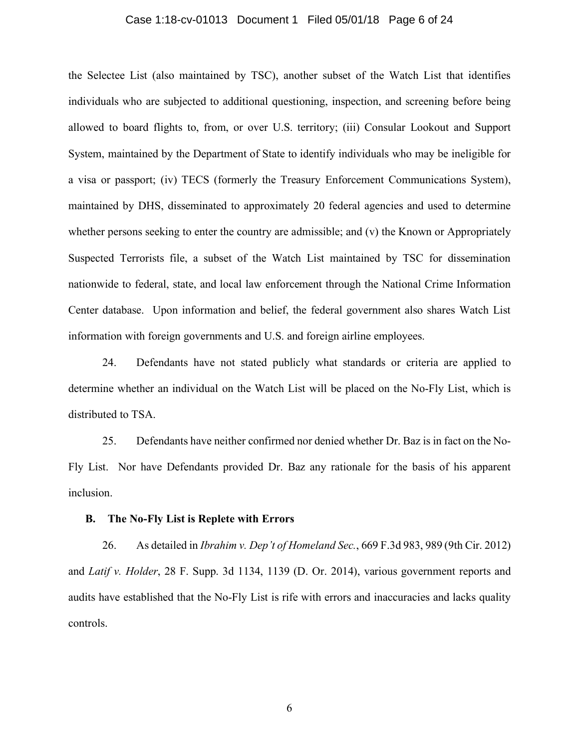### Case 1:18-cv-01013 Document 1 Filed 05/01/18 Page 6 of 24

the Selectee List (also maintained by TSC), another subset of the Watch List that identifies individuals who are subjected to additional questioning, inspection, and screening before being allowed to board flights to, from, or over U.S. territory; (iii) Consular Lookout and Support System, maintained by the Department of State to identify individuals who may be ineligible for a visa or passport; (iv) TECS (formerly the Treasury Enforcement Communications System), maintained by DHS, disseminated to approximately 20 federal agencies and used to determine whether persons seeking to enter the country are admissible; and (v) the Known or Appropriately Suspected Terrorists file, a subset of the Watch List maintained by TSC for dissemination nationwide to federal, state, and local law enforcement through the National Crime Information Center database. Upon information and belief, the federal government also shares Watch List information with foreign governments and U.S. and foreign airline employees.

24. Defendants have not stated publicly what standards or criteria are applied to determine whether an individual on the Watch List will be placed on the No-Fly List, which is distributed to TSA.

25. Defendants have neither confirmed nor denied whether Dr. Baz is in fact on the No-Fly List. Nor have Defendants provided Dr. Baz any rationale for the basis of his apparent inclusion.

### **B. The No-Fly List is Replete with Errors**

26. As detailed in *Ibrahim v. Dep't of Homeland Sec.*, 669 F.3d 983, 989 (9th Cir. 2012) and *Latif v. Holder*, 28 F. Supp. 3d 1134, 1139 (D. Or. 2014), various government reports and audits have established that the No-Fly List is rife with errors and inaccuracies and lacks quality controls.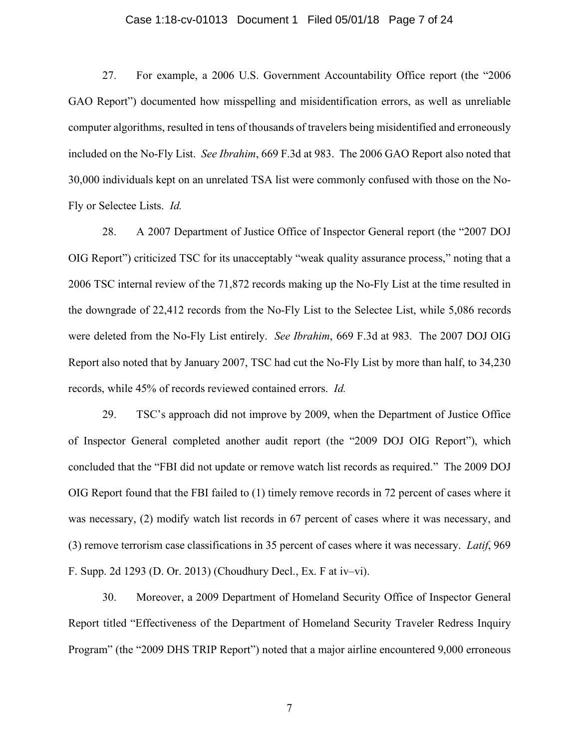### Case 1:18-cv-01013 Document 1 Filed 05/01/18 Page 7 of 24

27. For example, a 2006 U.S. Government Accountability Office report (the "2006 GAO Report") documented how misspelling and misidentification errors, as well as unreliable computer algorithms, resulted in tens of thousands of travelers being misidentified and erroneously included on the No-Fly List. *See Ibrahim*, 669 F.3d at 983. The 2006 GAO Report also noted that 30,000 individuals kept on an unrelated TSA list were commonly confused with those on the No-Fly or Selectee Lists. *Id.*

28. A 2007 Department of Justice Office of Inspector General report (the "2007 DOJ OIG Report") criticized TSC for its unacceptably "weak quality assurance process," noting that a 2006 TSC internal review of the 71,872 records making up the No-Fly List at the time resulted in the downgrade of 22,412 records from the No-Fly List to the Selectee List, while 5,086 records were deleted from the No-Fly List entirely. *See Ibrahim*, 669 F.3d at 983. The 2007 DOJ OIG Report also noted that by January 2007, TSC had cut the No-Fly List by more than half, to 34,230 records, while 45% of records reviewed contained errors. *Id.*

29. TSC's approach did not improve by 2009, when the Department of Justice Office of Inspector General completed another audit report (the "2009 DOJ OIG Report"), which concluded that the "FBI did not update or remove watch list records as required." The 2009 DOJ OIG Report found that the FBI failed to (1) timely remove records in 72 percent of cases where it was necessary, (2) modify watch list records in 67 percent of cases where it was necessary, and (3) remove terrorism case classifications in 35 percent of cases where it was necessary. *Latif*, 969 F. Supp. 2d 1293 (D. Or. 2013) (Choudhury Decl., Ex. F at iv–vi).

30. Moreover, a 2009 Department of Homeland Security Office of Inspector General Report titled "Effectiveness of the Department of Homeland Security Traveler Redress Inquiry Program" (the "2009 DHS TRIP Report") noted that a major airline encountered 9,000 erroneous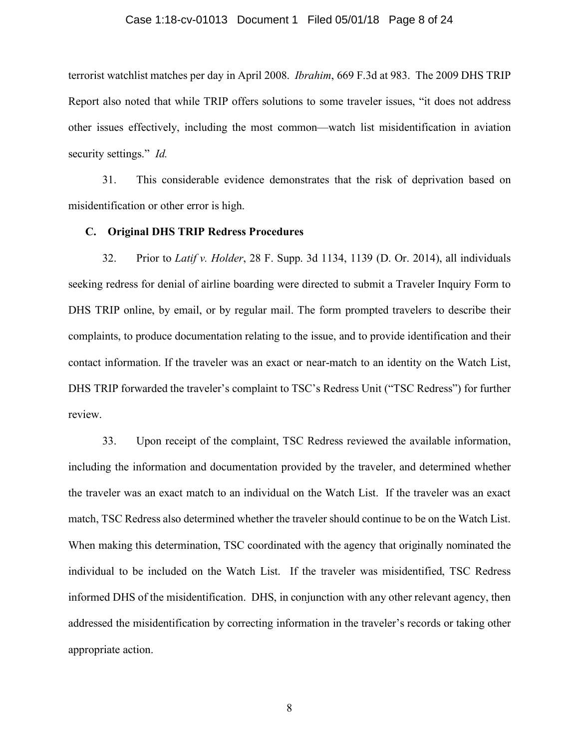### Case 1:18-cv-01013 Document 1 Filed 05/01/18 Page 8 of 24

terrorist watchlist matches per day in April 2008. *Ibrahim*, 669 F.3d at 983. The 2009 DHS TRIP Report also noted that while TRIP offers solutions to some traveler issues, "it does not address other issues effectively, including the most common—watch list misidentification in aviation security settings." *Id.*

31. This considerable evidence demonstrates that the risk of deprivation based on misidentification or other error is high.

### **C. Original DHS TRIP Redress Procedures**

32. Prior to *Latif v. Holder*, 28 F. Supp. 3d 1134, 1139 (D. Or. 2014), all individuals seeking redress for denial of airline boarding were directed to submit a Traveler Inquiry Form to DHS TRIP online, by email, or by regular mail. The form prompted travelers to describe their complaints, to produce documentation relating to the issue, and to provide identification and their contact information. If the traveler was an exact or near-match to an identity on the Watch List, DHS TRIP forwarded the traveler's complaint to TSC's Redress Unit ("TSC Redress") for further review.

33. Upon receipt of the complaint, TSC Redress reviewed the available information, including the information and documentation provided by the traveler, and determined whether the traveler was an exact match to an individual on the Watch List. If the traveler was an exact match, TSC Redress also determined whether the traveler should continue to be on the Watch List. When making this determination, TSC coordinated with the agency that originally nominated the individual to be included on the Watch List. If the traveler was misidentified, TSC Redress informed DHS of the misidentification. DHS, in conjunction with any other relevant agency, then addressed the misidentification by correcting information in the traveler's records or taking other appropriate action.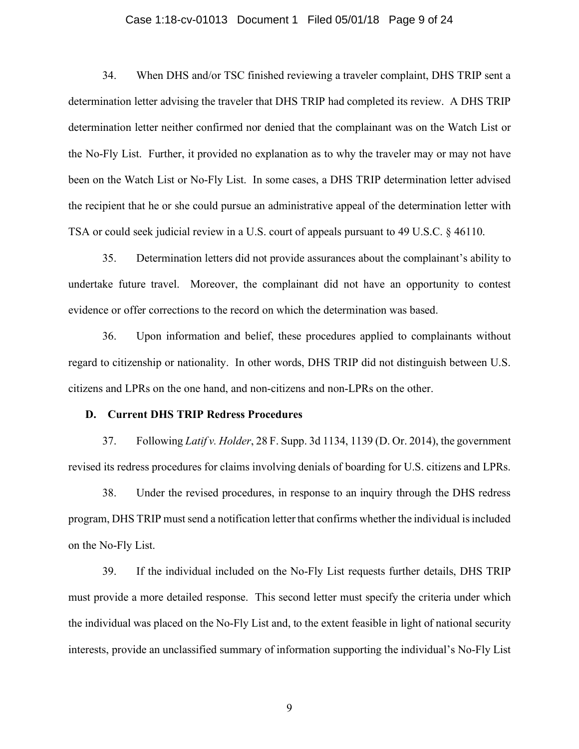### Case 1:18-cv-01013 Document 1 Filed 05/01/18 Page 9 of 24

34. When DHS and/or TSC finished reviewing a traveler complaint, DHS TRIP sent a determination letter advising the traveler that DHS TRIP had completed its review. A DHS TRIP determination letter neither confirmed nor denied that the complainant was on the Watch List or the No-Fly List. Further, it provided no explanation as to why the traveler may or may not have been on the Watch List or No-Fly List. In some cases, a DHS TRIP determination letter advised the recipient that he or she could pursue an administrative appeal of the determination letter with TSA or could seek judicial review in a U.S. court of appeals pursuant to 49 U.S.C. § 46110.

35. Determination letters did not provide assurances about the complainant's ability to undertake future travel. Moreover, the complainant did not have an opportunity to contest evidence or offer corrections to the record on which the determination was based.

36. Upon information and belief, these procedures applied to complainants without regard to citizenship or nationality. In other words, DHS TRIP did not distinguish between U.S. citizens and LPRs on the one hand, and non-citizens and non-LPRs on the other.

#### **D. Current DHS TRIP Redress Procedures**

37. Following *Latif v. Holder*, 28 F. Supp. 3d 1134, 1139 (D. Or. 2014), the government revised its redress procedures for claims involving denials of boarding for U.S. citizens and LPRs.

38. Under the revised procedures, in response to an inquiry through the DHS redress program, DHS TRIP must send a notification letter that confirms whether the individual is included on the No-Fly List.

39. If the individual included on the No-Fly List requests further details, DHS TRIP must provide a more detailed response. This second letter must specify the criteria under which the individual was placed on the No-Fly List and, to the extent feasible in light of national security interests, provide an unclassified summary of information supporting the individual's No-Fly List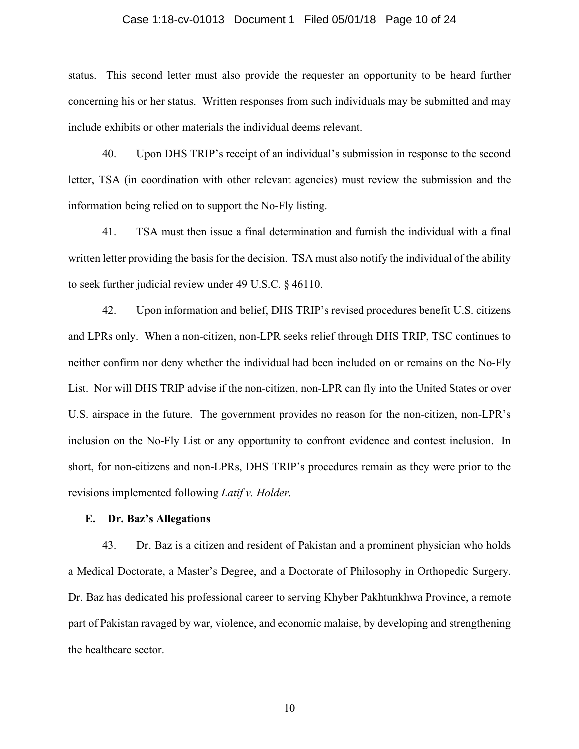### Case 1:18-cv-01013 Document 1 Filed 05/01/18 Page 10 of 24

status. This second letter must also provide the requester an opportunity to be heard further concerning his or her status. Written responses from such individuals may be submitted and may include exhibits or other materials the individual deems relevant.

40. Upon DHS TRIP's receipt of an individual's submission in response to the second letter, TSA (in coordination with other relevant agencies) must review the submission and the information being relied on to support the No-Fly listing.

41. TSA must then issue a final determination and furnish the individual with a final written letter providing the basis for the decision. TSA must also notify the individual of the ability to seek further judicial review under 49 U.S.C. § 46110.

42. Upon information and belief, DHS TRIP's revised procedures benefit U.S. citizens and LPRs only. When a non-citizen, non-LPR seeks relief through DHS TRIP, TSC continues to neither confirm nor deny whether the individual had been included on or remains on the No-Fly List. Nor will DHS TRIP advise if the non-citizen, non-LPR can fly into the United States or over U.S. airspace in the future. The government provides no reason for the non-citizen, non-LPR's inclusion on the No-Fly List or any opportunity to confront evidence and contest inclusion. In short, for non-citizens and non-LPRs, DHS TRIP's procedures remain as they were prior to the revisions implemented following *Latif v. Holder*.

### **E. Dr. Baz's Allegations**

43. Dr. Baz is a citizen and resident of Pakistan and a prominent physician who holds a Medical Doctorate, a Master's Degree, and a Doctorate of Philosophy in Orthopedic Surgery. Dr. Baz has dedicated his professional career to serving Khyber Pakhtunkhwa Province, a remote part of Pakistan ravaged by war, violence, and economic malaise, by developing and strengthening the healthcare sector.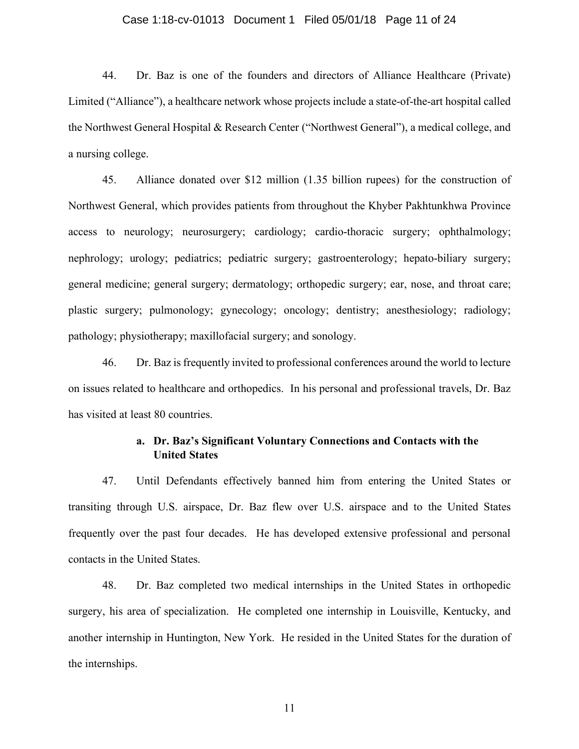### Case 1:18-cv-01013 Document 1 Filed 05/01/18 Page 11 of 24

44. Dr. Baz is one of the founders and directors of Alliance Healthcare (Private) Limited ("Alliance"), a healthcare network whose projects include a state-of-the-art hospital called the Northwest General Hospital & Research Center ("Northwest General"), a medical college, and a nursing college.

45. Alliance donated over \$12 million (1.35 billion rupees) for the construction of Northwest General, which provides patients from throughout the Khyber Pakhtunkhwa Province access to neurology; neurosurgery; cardiology; cardio-thoracic surgery; ophthalmology; nephrology; urology; pediatrics; pediatric surgery; gastroenterology; hepato-biliary surgery; general medicine; general surgery; dermatology; orthopedic surgery; ear, nose, and throat care; plastic surgery; pulmonology; gynecology; oncology; dentistry; anesthesiology; radiology; pathology; physiotherapy; maxillofacial surgery; and sonology.

46. Dr. Baz is frequently invited to professional conferences around the world to lecture on issues related to healthcare and orthopedics. In his personal and professional travels, Dr. Baz has visited at least 80 countries.

## **a. Dr. Baz's Significant Voluntary Connections and Contacts with the United States**

47. Until Defendants effectively banned him from entering the United States or transiting through U.S. airspace, Dr. Baz flew over U.S. airspace and to the United States frequently over the past four decades. He has developed extensive professional and personal contacts in the United States.

48. Dr. Baz completed two medical internships in the United States in orthopedic surgery, his area of specialization. He completed one internship in Louisville, Kentucky, and another internship in Huntington, New York. He resided in the United States for the duration of the internships.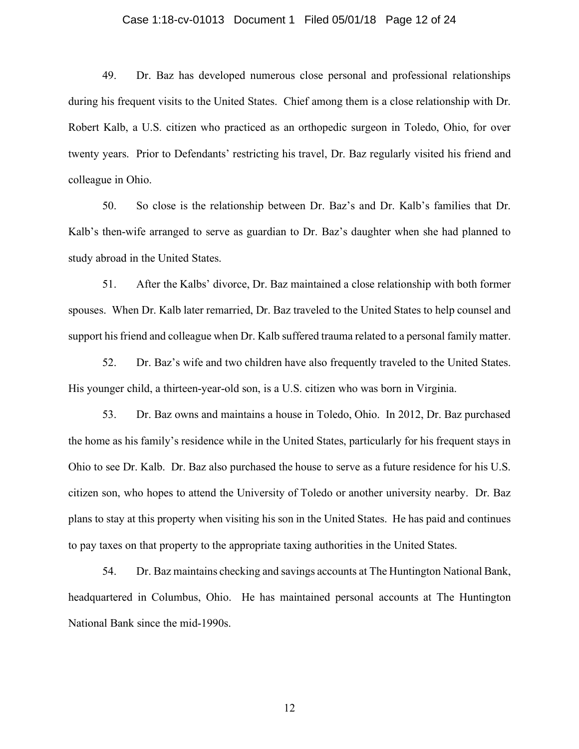### Case 1:18-cv-01013 Document 1 Filed 05/01/18 Page 12 of 24

49. Dr. Baz has developed numerous close personal and professional relationships during his frequent visits to the United States. Chief among them is a close relationship with Dr. Robert Kalb, a U.S. citizen who practiced as an orthopedic surgeon in Toledo, Ohio, for over twenty years. Prior to Defendants' restricting his travel, Dr. Baz regularly visited his friend and colleague in Ohio.

50. So close is the relationship between Dr. Baz's and Dr. Kalb's families that Dr. Kalb's then-wife arranged to serve as guardian to Dr. Baz's daughter when she had planned to study abroad in the United States.

51. After the Kalbs' divorce, Dr. Baz maintained a close relationship with both former spouses. When Dr. Kalb later remarried, Dr. Baz traveled to the United States to help counsel and support his friend and colleague when Dr. Kalb suffered trauma related to a personal family matter.

52. Dr. Baz's wife and two children have also frequently traveled to the United States. His younger child, a thirteen-year-old son, is a U.S. citizen who was born in Virginia.

53. Dr. Baz owns and maintains a house in Toledo, Ohio. In 2012, Dr. Baz purchased the home as his family's residence while in the United States, particularly for his frequent stays in Ohio to see Dr. Kalb. Dr. Baz also purchased the house to serve as a future residence for his U.S. citizen son, who hopes to attend the University of Toledo or another university nearby. Dr. Baz plans to stay at this property when visiting his son in the United States. He has paid and continues to pay taxes on that property to the appropriate taxing authorities in the United States.

54. Dr. Baz maintains checking and savings accounts at The Huntington National Bank, headquartered in Columbus, Ohio. He has maintained personal accounts at The Huntington National Bank since the mid-1990s.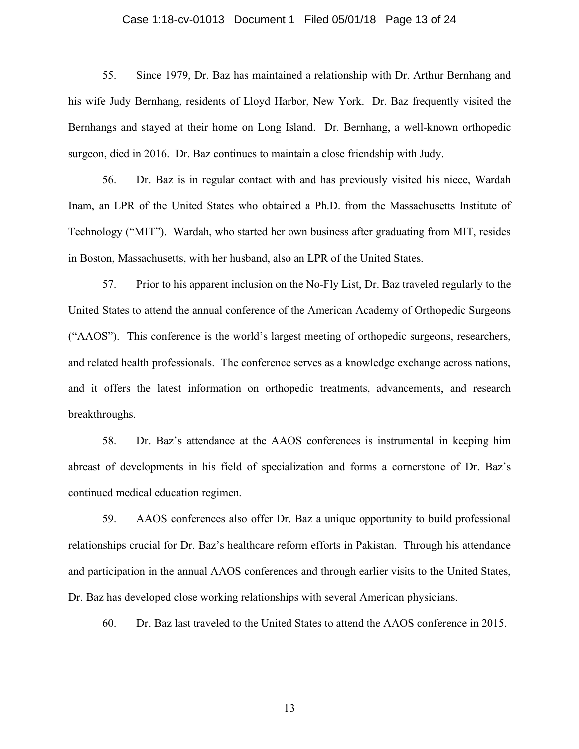### Case 1:18-cv-01013 Document 1 Filed 05/01/18 Page 13 of 24

55. Since 1979, Dr. Baz has maintained a relationship with Dr. Arthur Bernhang and his wife Judy Bernhang, residents of Lloyd Harbor, New York. Dr. Baz frequently visited the Bernhangs and stayed at their home on Long Island. Dr. Bernhang, a well-known orthopedic surgeon, died in 2016. Dr. Baz continues to maintain a close friendship with Judy.

56. Dr. Baz is in regular contact with and has previously visited his niece, Wardah Inam, an LPR of the United States who obtained a Ph.D. from the Massachusetts Institute of Technology ("MIT"). Wardah, who started her own business after graduating from MIT, resides in Boston, Massachusetts, with her husband, also an LPR of the United States.

57. Prior to his apparent inclusion on the No-Fly List, Dr. Baz traveled regularly to the United States to attend the annual conference of the American Academy of Orthopedic Surgeons ("AAOS"). This conference is the world's largest meeting of orthopedic surgeons, researchers, and related health professionals. The conference serves as a knowledge exchange across nations, and it offers the latest information on orthopedic treatments, advancements, and research breakthroughs.

58. Dr. Baz's attendance at the AAOS conferences is instrumental in keeping him abreast of developments in his field of specialization and forms a cornerstone of Dr. Baz's continued medical education regimen.

59. AAOS conferences also offer Dr. Baz a unique opportunity to build professional relationships crucial for Dr. Baz's healthcare reform efforts in Pakistan. Through his attendance and participation in the annual AAOS conferences and through earlier visits to the United States, Dr. Baz has developed close working relationships with several American physicians.

60. Dr. Baz last traveled to the United States to attend the AAOS conference in 2015.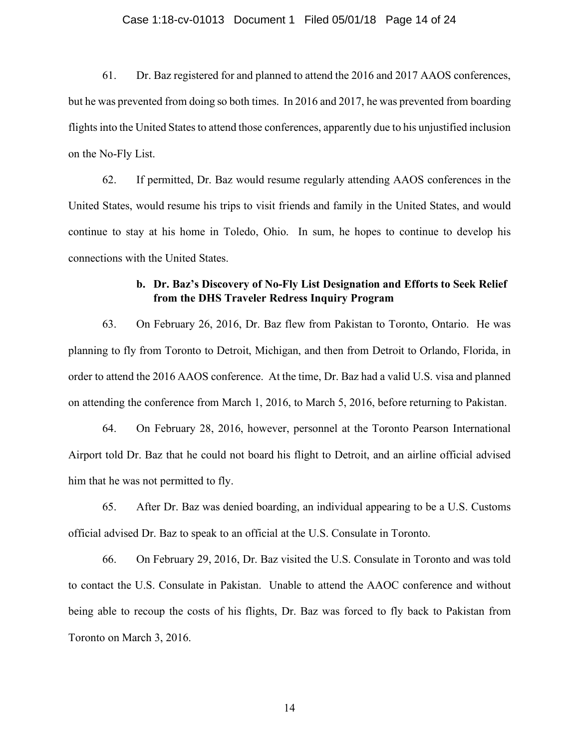## Case 1:18-cv-01013 Document 1 Filed 05/01/18 Page 14 of 24

61. Dr. Baz registered for and planned to attend the 2016 and 2017 AAOS conferences, but he was prevented from doing so both times. In 2016 and 2017, he was prevented from boarding flights into the United States to attend those conferences, apparently due to his unjustified inclusion on the No-Fly List.

62. If permitted, Dr. Baz would resume regularly attending AAOS conferences in the United States, would resume his trips to visit friends and family in the United States, and would continue to stay at his home in Toledo, Ohio. In sum, he hopes to continue to develop his connections with the United States.

# **b. Dr. Baz's Discovery of No-Fly List Designation and Efforts to Seek Relief from the DHS Traveler Redress Inquiry Program**

63. On February 26, 2016, Dr. Baz flew from Pakistan to Toronto, Ontario. He was planning to fly from Toronto to Detroit, Michigan, and then from Detroit to Orlando, Florida, in order to attend the 2016 AAOS conference. At the time, Dr. Baz had a valid U.S. visa and planned on attending the conference from March 1, 2016, to March 5, 2016, before returning to Pakistan.

64. On February 28, 2016, however, personnel at the Toronto Pearson International Airport told Dr. Baz that he could not board his flight to Detroit, and an airline official advised him that he was not permitted to fly.

65. After Dr. Baz was denied boarding, an individual appearing to be a U.S. Customs official advised Dr. Baz to speak to an official at the U.S. Consulate in Toronto.

66. On February 29, 2016, Dr. Baz visited the U.S. Consulate in Toronto and was told to contact the U.S. Consulate in Pakistan. Unable to attend the AAOC conference and without being able to recoup the costs of his flights, Dr. Baz was forced to fly back to Pakistan from Toronto on March 3, 2016.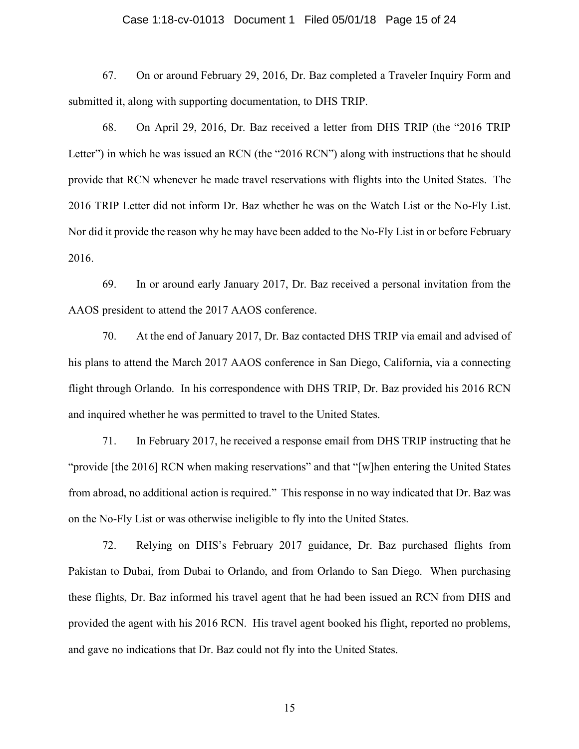### Case 1:18-cv-01013 Document 1 Filed 05/01/18 Page 15 of 24

67. On or around February 29, 2016, Dr. Baz completed a Traveler Inquiry Form and submitted it, along with supporting documentation, to DHS TRIP.

68. On April 29, 2016, Dr. Baz received a letter from DHS TRIP (the "2016 TRIP Letter") in which he was issued an RCN (the "2016 RCN") along with instructions that he should provide that RCN whenever he made travel reservations with flights into the United States. The 2016 TRIP Letter did not inform Dr. Baz whether he was on the Watch List or the No-Fly List. Nor did it provide the reason why he may have been added to the No-Fly List in or before February 2016.

69. In or around early January 2017, Dr. Baz received a personal invitation from the AAOS president to attend the 2017 AAOS conference.

70. At the end of January 2017, Dr. Baz contacted DHS TRIP via email and advised of his plans to attend the March 2017 AAOS conference in San Diego, California, via a connecting flight through Orlando. In his correspondence with DHS TRIP, Dr. Baz provided his 2016 RCN and inquired whether he was permitted to travel to the United States.

71. In February 2017, he received a response email from DHS TRIP instructing that he "provide [the 2016] RCN when making reservations" and that "[w]hen entering the United States from abroad, no additional action is required." This response in no way indicated that Dr. Baz was on the No-Fly List or was otherwise ineligible to fly into the United States.

72. Relying on DHS's February 2017 guidance, Dr. Baz purchased flights from Pakistan to Dubai, from Dubai to Orlando, and from Orlando to San Diego. When purchasing these flights, Dr. Baz informed his travel agent that he had been issued an RCN from DHS and provided the agent with his 2016 RCN. His travel agent booked his flight, reported no problems, and gave no indications that Dr. Baz could not fly into the United States.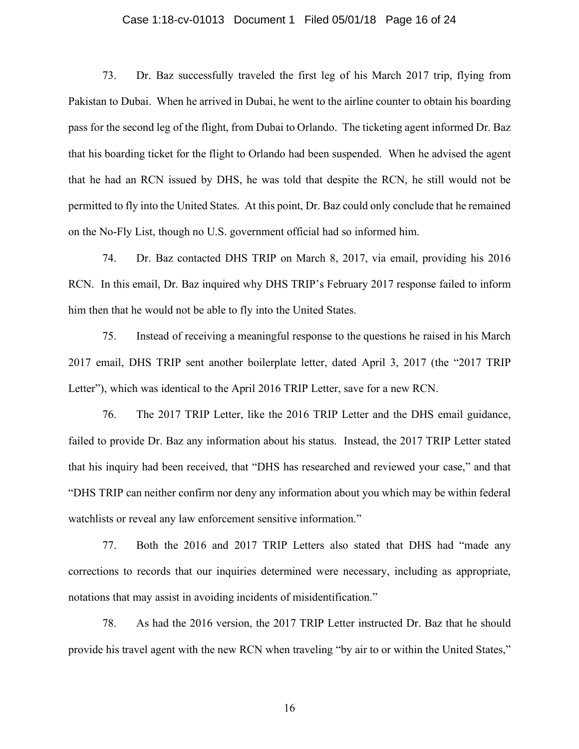### Case 1:18-cv-01013 Document 1 Filed 05/01/18 Page 16 of 24

73. Dr. Baz successfully traveled the first leg of his March 2017 trip, flying from Pakistan to Dubai. When he arrived in Dubai, he went to the airline counter to obtain his boarding pass for the second leg of the flight, from Dubai to Orlando. The ticketing agent informed Dr. Baz that his boarding ticket for the flight to Orlando had been suspended. When he advised the agent that he had an RCN issued by DHS, he was told that despite the RCN, he still would not be permitted to fly into the United States. At this point, Dr. Baz could only conclude that he remained on the No-Fly List, though no U.S. government official had so informed him.

74. Dr. Baz contacted DHS TRIP on March 8, 2017, via email, providing his 2016 RCN. In this email, Dr. Baz inquired why DHS TRIP's February 2017 response failed to inform him then that he would not be able to fly into the United States.

75. Instead of receiving a meaningful response to the questions he raised in his March 2017 email, DHS TRIP sent another boilerplate letter, dated April 3, 2017 (the "2017 TRIP Letter"), which was identical to the April 2016 TRIP Letter, save for a new RCN.

76. The 2017 TRIP Letter, like the 2016 TRIP Letter and the DHS email guidance, failed to provide Dr. Baz any information about his status. Instead, the 2017 TRIP Letter stated that his inquiry had been received, that "DHS has researched and reviewed your case," and that "DHS TRIP can neither confirm nor deny any information about you which may be within federal watchlists or reveal any law enforcement sensitive information."

77. Both the 2016 and 2017 TRIP Letters also stated that DHS had "made any corrections to records that our inquiries determined were necessary, including as appropriate, notations that may assist in avoiding incidents of misidentification."

78. As had the 2016 version, the 2017 TRIP Letter instructed Dr. Baz that he should provide his travel agent with the new RCN when traveling "by air to or within the United States,"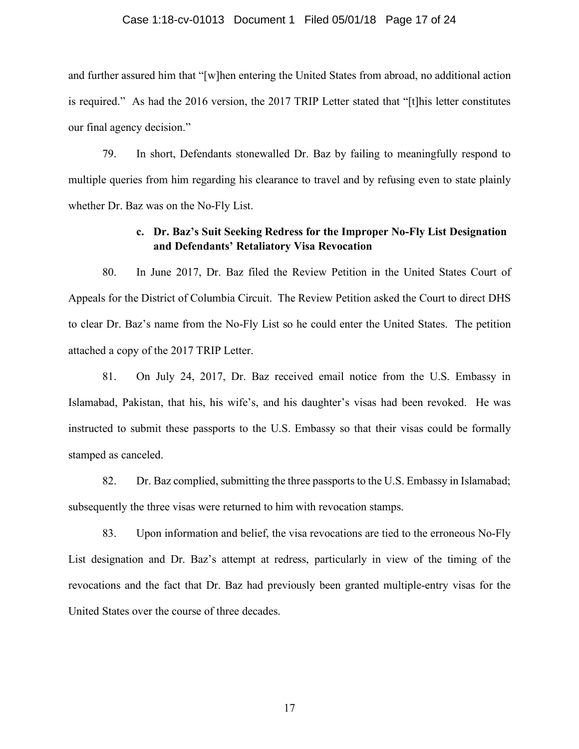### Case 1:18-cv-01013 Document 1 Filed 05/01/18 Page 17 of 24

and further assured him that "[w]hen entering the United States from abroad, no additional action is required." As had the 2016 version, the 2017 TRIP Letter stated that "[t]his letter constitutes our final agency decision."

79. In short, Defendants stonewalled Dr. Baz by failing to meaningfully respond to multiple queries from him regarding his clearance to travel and by refusing even to state plainly whether Dr. Baz was on the No-Fly List.

## **c. Dr. Baz's Suit Seeking Redress for the Improper No-Fly List Designation and Defendants' Retaliatory Visa Revocation**

80. In June 2017, Dr. Baz filed the Review Petition in the United States Court of Appeals for the District of Columbia Circuit. The Review Petition asked the Court to direct DHS to clear Dr. Baz's name from the No-Fly List so he could enter the United States. The petition attached a copy of the 2017 TRIP Letter.

81. On July 24, 2017, Dr. Baz received email notice from the U.S. Embassy in Islamabad, Pakistan, that his, his wife's, and his daughter's visas had been revoked. He was instructed to submit these passports to the U.S. Embassy so that their visas could be formally stamped as canceled.

82. Dr. Baz complied, submitting the three passports to the U.S. Embassy in Islamabad; subsequently the three visas were returned to him with revocation stamps.

83. Upon information and belief, the visa revocations are tied to the erroneous No-Fly List designation and Dr. Baz's attempt at redress, particularly in view of the timing of the revocations and the fact that Dr. Baz had previously been granted multiple-entry visas for the United States over the course of three decades.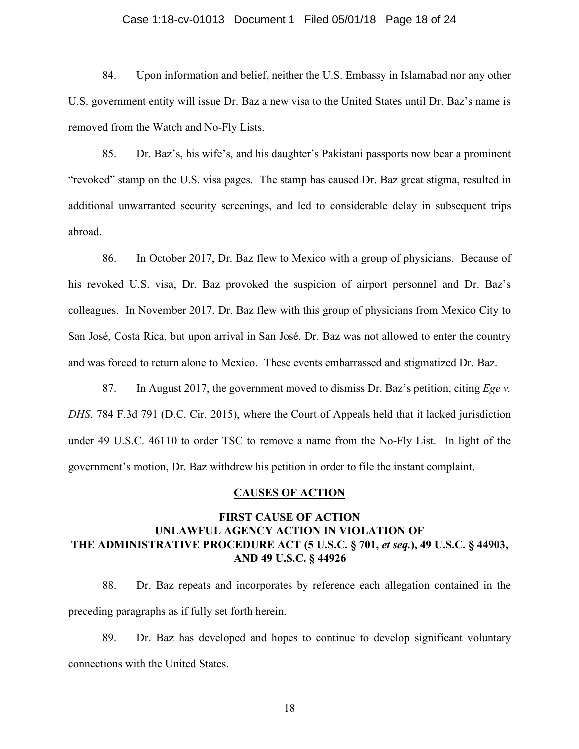### Case 1:18-cv-01013 Document 1 Filed 05/01/18 Page 18 of 24

84. Upon information and belief, neither the U.S. Embassy in Islamabad nor any other U.S. government entity will issue Dr. Baz a new visa to the United States until Dr. Baz's name is removed from the Watch and No-Fly Lists.

85. Dr. Baz's, his wife's, and his daughter's Pakistani passports now bear a prominent "revoked" stamp on the U.S. visa pages. The stamp has caused Dr. Baz great stigma, resulted in additional unwarranted security screenings, and led to considerable delay in subsequent trips abroad.

86. In October 2017, Dr. Baz flew to Mexico with a group of physicians. Because of his revoked U.S. visa, Dr. Baz provoked the suspicion of airport personnel and Dr. Baz's colleagues. In November 2017, Dr. Baz flew with this group of physicians from Mexico City to San José, Costa Rica, but upon arrival in San José, Dr. Baz was not allowed to enter the country and was forced to return alone to Mexico. These events embarrassed and stigmatized Dr. Baz.

87. In August 2017, the government moved to dismiss Dr. Baz's petition, citing *Ege v. DHS*, 784 F.3d 791 (D.C. Cir. 2015), where the Court of Appeals held that it lacked jurisdiction under 49 U.S.C. 46110 to order TSC to remove a name from the No-Fly List. In light of the government's motion, Dr. Baz withdrew his petition in order to file the instant complaint.

### **CAUSES OF ACTION**

# **FIRST CAUSE OF ACTION UNLAWFUL AGENCY ACTION IN VIOLATION OF THE ADMINISTRATIVE PROCEDURE ACT (5 U.S.C. § 701,** *et seq.***), 49 U.S.C. § 44903, AND 49 U.S.C. § 44926**

88. Dr. Baz repeats and incorporates by reference each allegation contained in the preceding paragraphs as if fully set forth herein.

89. Dr. Baz has developed and hopes to continue to develop significant voluntary connections with the United States.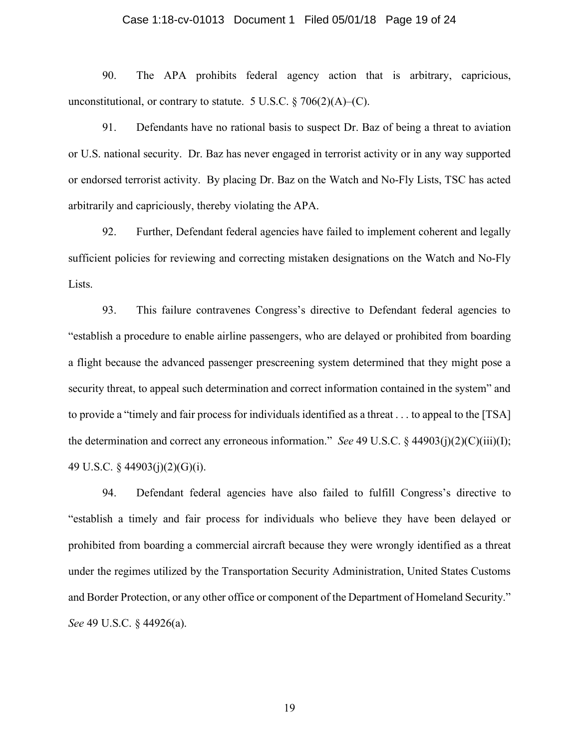### Case 1:18-cv-01013 Document 1 Filed 05/01/18 Page 19 of 24

90. The APA prohibits federal agency action that is arbitrary, capricious, unconstitutional, or contrary to statute.  $5 \text{ U.S.C.} \$   $706(2)(\text{A})-(\text{C})$ .

91. Defendants have no rational basis to suspect Dr. Baz of being a threat to aviation or U.S. national security. Dr. Baz has never engaged in terrorist activity or in any way supported or endorsed terrorist activity. By placing Dr. Baz on the Watch and No-Fly Lists, TSC has acted arbitrarily and capriciously, thereby violating the APA.

92. Further, Defendant federal agencies have failed to implement coherent and legally sufficient policies for reviewing and correcting mistaken designations on the Watch and No-Fly Lists.

93. This failure contravenes Congress's directive to Defendant federal agencies to "establish a procedure to enable airline passengers, who are delayed or prohibited from boarding a flight because the advanced passenger prescreening system determined that they might pose a security threat, to appeal such determination and correct information contained in the system" and to provide a "timely and fair process for individuals identified as a threat . . . to appeal to the [TSA] the determination and correct any erroneous information." *See* 49 U.S.C. § 44903(j)(2)(C)(iii)(I); 49 U.S.C. § 44903(j)(2)(G)(i).

94. Defendant federal agencies have also failed to fulfill Congress's directive to "establish a timely and fair process for individuals who believe they have been delayed or prohibited from boarding a commercial aircraft because they were wrongly identified as a threat under the regimes utilized by the Transportation Security Administration, United States Customs and Border Protection, or any other office or component of the Department of Homeland Security." *See* 49 U.S.C. § 44926(a).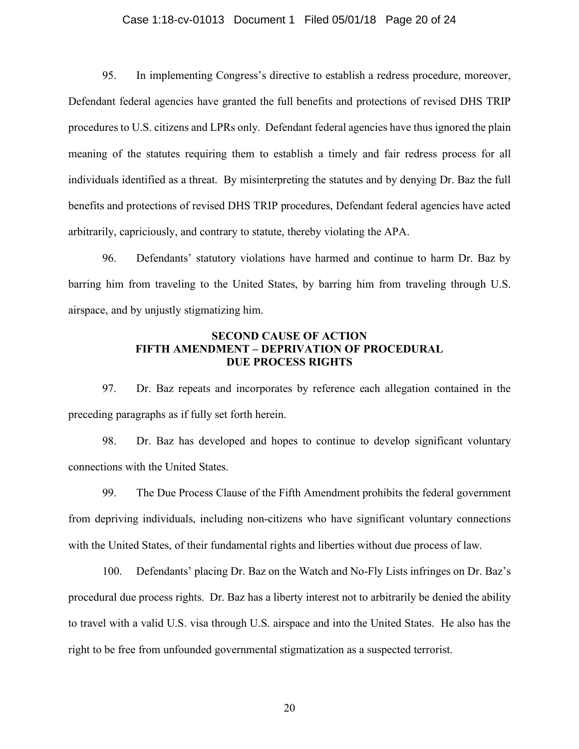### Case 1:18-cv-01013 Document 1 Filed 05/01/18 Page 20 of 24

95. In implementing Congress's directive to establish a redress procedure, moreover, Defendant federal agencies have granted the full benefits and protections of revised DHS TRIP procedures to U.S. citizens and LPRs only. Defendant federal agencies have thus ignored the plain meaning of the statutes requiring them to establish a timely and fair redress process for all individuals identified as a threat. By misinterpreting the statutes and by denying Dr. Baz the full benefits and protections of revised DHS TRIP procedures, Defendant federal agencies have acted arbitrarily, capriciously, and contrary to statute, thereby violating the APA.

96. Defendants' statutory violations have harmed and continue to harm Dr. Baz by barring him from traveling to the United States, by barring him from traveling through U.S. airspace, and by unjustly stigmatizing him.

## **SECOND CAUSE OF ACTION FIFTH AMENDMENT – DEPRIVATION OF PROCEDURAL DUE PROCESS RIGHTS**

97. Dr. Baz repeats and incorporates by reference each allegation contained in the preceding paragraphs as if fully set forth herein.

98. Dr. Baz has developed and hopes to continue to develop significant voluntary connections with the United States.

99. The Due Process Clause of the Fifth Amendment prohibits the federal government from depriving individuals, including non-citizens who have significant voluntary connections with the United States, of their fundamental rights and liberties without due process of law.

100. Defendants' placing Dr. Baz on the Watch and No-Fly Lists infringes on Dr. Baz's procedural due process rights. Dr. Baz has a liberty interest not to arbitrarily be denied the ability to travel with a valid U.S. visa through U.S. airspace and into the United States. He also has the right to be free from unfounded governmental stigmatization as a suspected terrorist.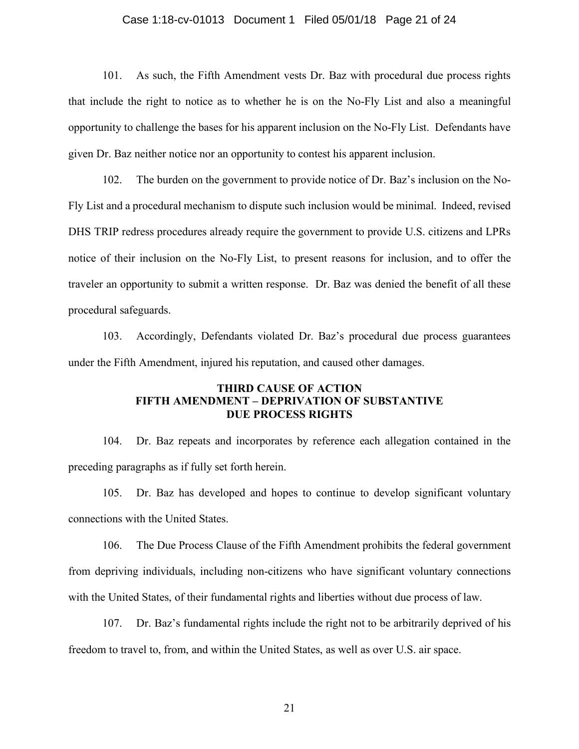### Case 1:18-cv-01013 Document 1 Filed 05/01/18 Page 21 of 24

101. As such, the Fifth Amendment vests Dr. Baz with procedural due process rights that include the right to notice as to whether he is on the No-Fly List and also a meaningful opportunity to challenge the bases for his apparent inclusion on the No-Fly List. Defendants have given Dr. Baz neither notice nor an opportunity to contest his apparent inclusion.

102. The burden on the government to provide notice of Dr. Baz's inclusion on the No-Fly List and a procedural mechanism to dispute such inclusion would be minimal. Indeed, revised DHS TRIP redress procedures already require the government to provide U.S. citizens and LPRs notice of their inclusion on the No-Fly List, to present reasons for inclusion, and to offer the traveler an opportunity to submit a written response. Dr. Baz was denied the benefit of all these procedural safeguards.

103. Accordingly, Defendants violated Dr. Baz's procedural due process guarantees under the Fifth Amendment, injured his reputation, and caused other damages.

## **THIRD CAUSE OF ACTION FIFTH AMENDMENT – DEPRIVATION OF SUBSTANTIVE DUE PROCESS RIGHTS**

104. Dr. Baz repeats and incorporates by reference each allegation contained in the preceding paragraphs as if fully set forth herein.

105. Dr. Baz has developed and hopes to continue to develop significant voluntary connections with the United States.

106. The Due Process Clause of the Fifth Amendment prohibits the federal government from depriving individuals, including non-citizens who have significant voluntary connections with the United States, of their fundamental rights and liberties without due process of law.

107. Dr. Baz's fundamental rights include the right not to be arbitrarily deprived of his freedom to travel to, from, and within the United States, as well as over U.S. air space.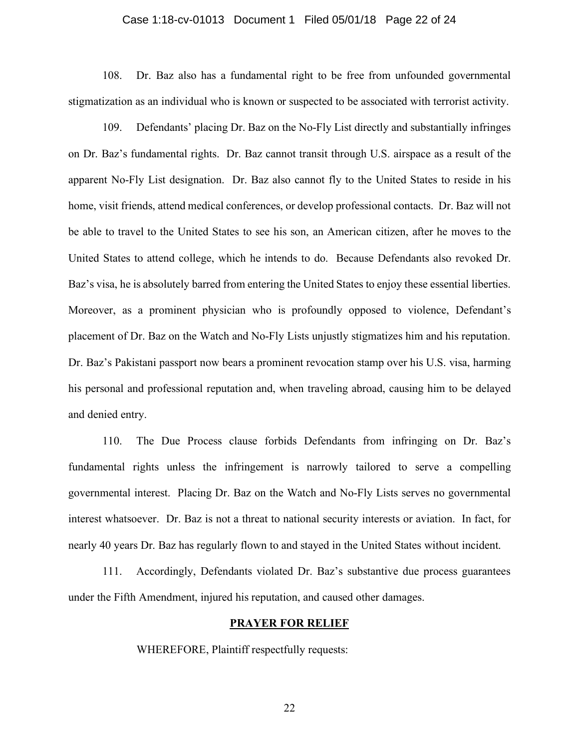### Case 1:18-cv-01013 Document 1 Filed 05/01/18 Page 22 of 24

108. Dr. Baz also has a fundamental right to be free from unfounded governmental stigmatization as an individual who is known or suspected to be associated with terrorist activity.

109. Defendants' placing Dr. Baz on the No-Fly List directly and substantially infringes on Dr. Baz's fundamental rights. Dr. Baz cannot transit through U.S. airspace as a result of the apparent No-Fly List designation. Dr. Baz also cannot fly to the United States to reside in his home, visit friends, attend medical conferences, or develop professional contacts. Dr. Baz will not be able to travel to the United States to see his son, an American citizen, after he moves to the United States to attend college, which he intends to do. Because Defendants also revoked Dr. Baz's visa, he is absolutely barred from entering the United States to enjoy these essential liberties. Moreover, as a prominent physician who is profoundly opposed to violence, Defendant's placement of Dr. Baz on the Watch and No-Fly Lists unjustly stigmatizes him and his reputation. Dr. Baz's Pakistani passport now bears a prominent revocation stamp over his U.S. visa, harming his personal and professional reputation and, when traveling abroad, causing him to be delayed and denied entry.

110. The Due Process clause forbids Defendants from infringing on Dr. Baz's fundamental rights unless the infringement is narrowly tailored to serve a compelling governmental interest. Placing Dr. Baz on the Watch and No-Fly Lists serves no governmental interest whatsoever. Dr. Baz is not a threat to national security interests or aviation. In fact, for nearly 40 years Dr. Baz has regularly flown to and stayed in the United States without incident.

111. Accordingly, Defendants violated Dr. Baz's substantive due process guarantees under the Fifth Amendment, injured his reputation, and caused other damages.

#### **PRAYER FOR RELIEF**

WHEREFORE, Plaintiff respectfully requests: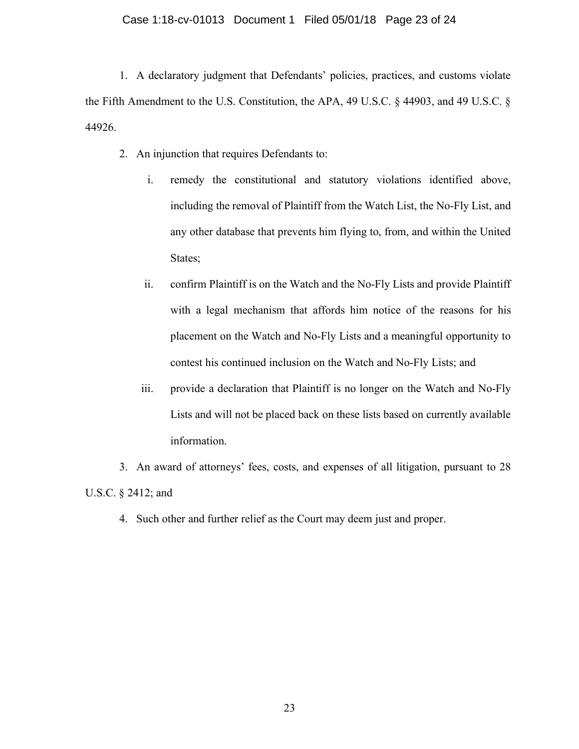### Case 1:18-cv-01013 Document 1 Filed 05/01/18 Page 23 of 24

1. A declaratory judgment that Defendants' policies, practices, and customs violate the Fifth Amendment to the U.S. Constitution, the APA, 49 U.S.C. § 44903, and 49 U.S.C. § 44926.

- 2. An injunction that requires Defendants to:
	- i. remedy the constitutional and statutory violations identified above, including the removal of Plaintiff from the Watch List, the No-Fly List, and any other database that prevents him flying to, from, and within the United States;
	- ii. confirm Plaintiff is on the Watch and the No-Fly Lists and provide Plaintiff with a legal mechanism that affords him notice of the reasons for his placement on the Watch and No-Fly Lists and a meaningful opportunity to contest his continued inclusion on the Watch and No-Fly Lists; and
	- iii. provide a declaration that Plaintiff is no longer on the Watch and No-Fly Lists and will not be placed back on these lists based on currently available information.
- 3. An award of attorneys' fees, costs, and expenses of all litigation, pursuant to 28 U.S.C. § 2412; and
	- 4. Such other and further relief as the Court may deem just and proper.